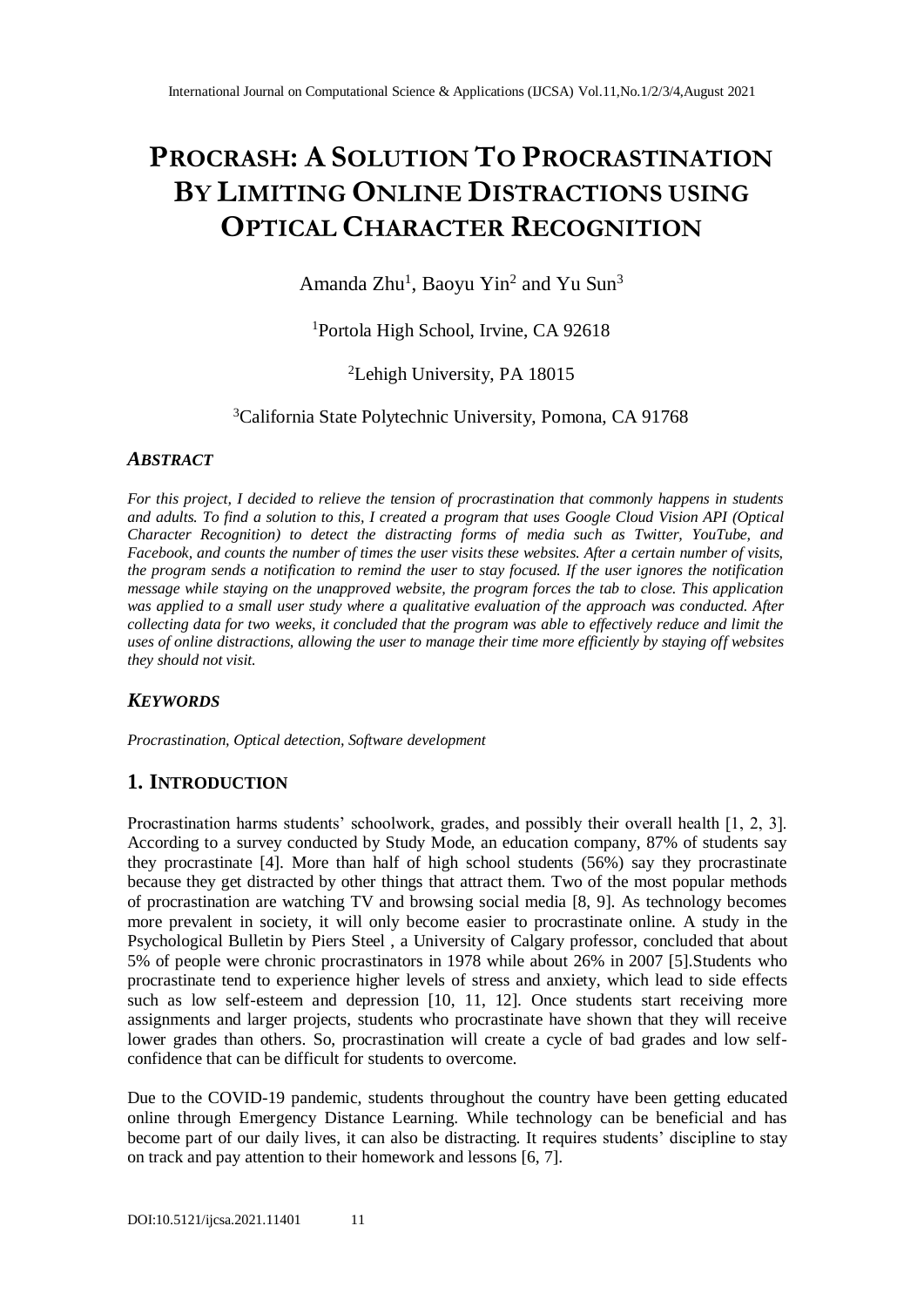# **PROCRASH: A SOLUTION TO PROCRASTINATION BY LIMITING ONLINE DISTRACTIONS USING OPTICAL CHARACTER RECOGNITION**

Amanda Zhu<sup>1</sup>, Baoyu Yin<sup>2</sup> and Yu Sun<sup>3</sup>

<sup>1</sup>Portola High School, Irvine, CA 92618

# <sup>2</sup>Lehigh University, PA 18015

<sup>3</sup>California State Polytechnic University, Pomona, CA 91768

# *ABSTRACT*

*For this project, I decided to relieve the tension of procrastination that commonly happens in students and adults. To find a solution to this, I created a program that uses Google Cloud Vision API (Optical Character Recognition) to detect the distracting forms of media such as Twitter, YouTube, and Facebook, and counts the number of times the user visits these websites. After a certain number of visits, the program sends a notification to remind the user to stay focused. If the user ignores the notification message while staying on the unapproved website, the program forces the tab to close. This application was applied to a small user study where a qualitative evaluation of the approach was conducted. After collecting data for two weeks, it concluded that the program was able to effectively reduce and limit the uses of online distractions, allowing the user to manage their time more efficiently by staying off websites they should not visit.*

# *KEYWORDS*

*Procrastination, Optical detection, Software development*

# **1. INTRODUCTION**

Procrastination harms students' schoolwork, grades, and possibly their overall health [1, 2, 3]. According to a survey conducted by Study Mode, an education company, 87% of students say they procrastinate [4]. More than half of high school students (56%) say they procrastinate because they get distracted by other things that attract them. Two of the most popular methods of procrastination are watching TV and browsing social media [8, 9]. As technology becomes more prevalent in society, it will only become easier to procrastinate online. A study in the Psychological Bulletin by Piers Steel , a University of Calgary professor, concluded that about 5% of people were chronic procrastinators in 1978 while about 26% in 2007 [5].Students who procrastinate tend to experience higher levels of stress and anxiety, which lead to side effects such as low self-esteem and depression [10, 11, 12]. Once students start receiving more assignments and larger projects, students who procrastinate have shown that they will receive lower grades than others. So, procrastination will create a cycle of bad grades and low selfconfidence that can be difficult for students to overcome.

Due to the COVID-19 pandemic, students throughout the country have been getting educated online through Emergency Distance Learning. While technology can be beneficial and has become part of our daily lives, it can also be distracting. It requires students' discipline to stay on track and pay attention to their homework and lessons [6, 7].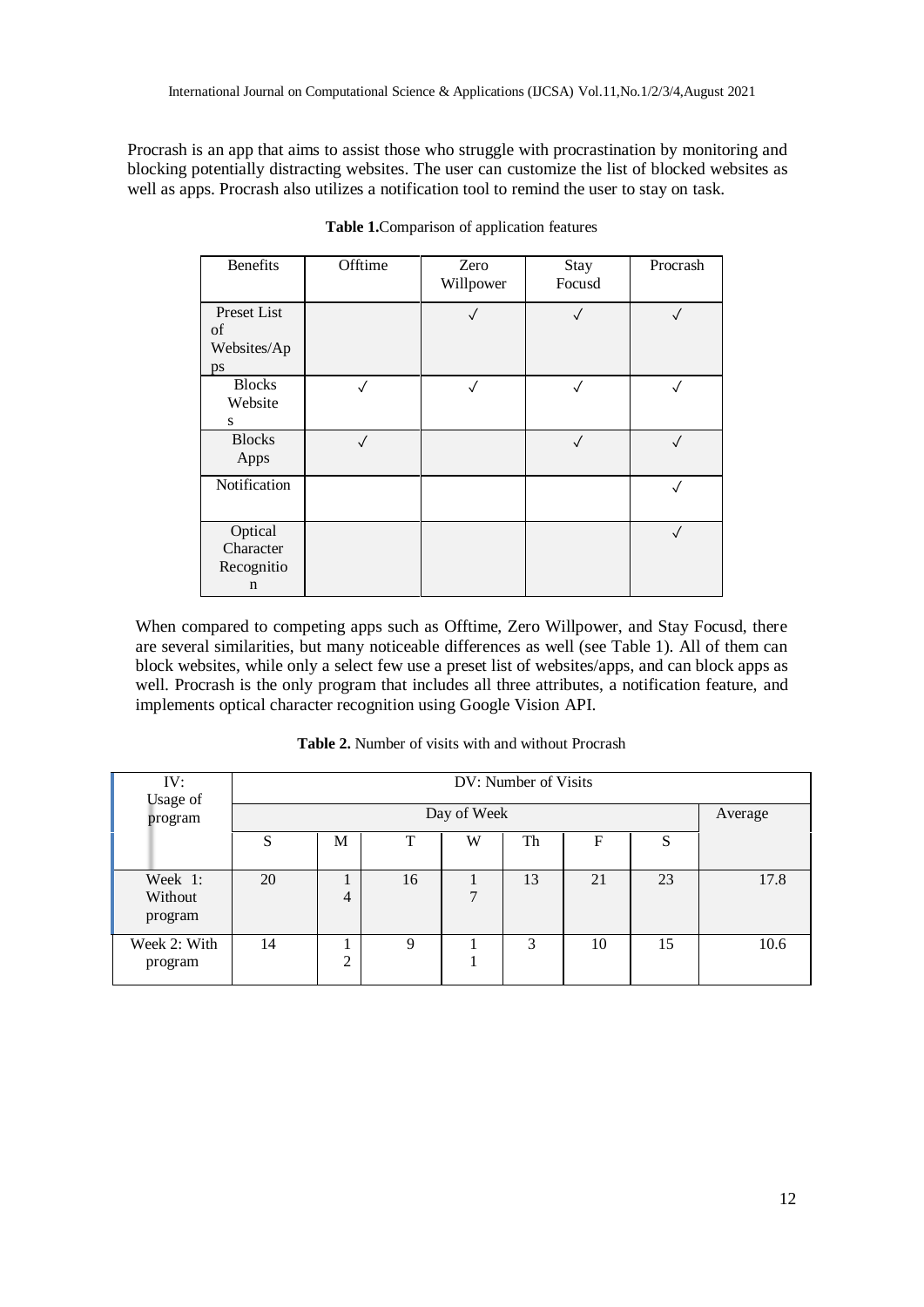Procrash is an app that aims to assist those who struggle with procrastination by monitoring and blocking potentially distracting websites. The user can customize the list of blocked websites as well as apps. Procrash also utilizes a notification tool to remind the user to stay on task.

| <b>Benefits</b>                                   | Offtime      | Zero<br>Willpower | Stay<br>Focusd | Procrash   |
|---------------------------------------------------|--------------|-------------------|----------------|------------|
| Preset List<br>of<br>Websites/Ap<br>ps            |              |                   | $\checkmark$   | $\sqrt{}$  |
| <b>Blocks</b><br>Website<br>S                     |              |                   | √              | $\sqrt{2}$ |
| <b>Blocks</b><br>Apps                             | $\checkmark$ |                   | $\checkmark$   | $\sqrt{}$  |
| Notification                                      |              |                   |                | $\sqrt{ }$ |
| Optical<br>Character<br>Recognitio<br>$\mathbf n$ |              |                   |                | $\sqrt{}$  |

**Table 1.**Comparison of application features

When compared to competing apps such as Offtime, Zero Willpower, and Stay Focusd, there are several similarities, but many noticeable differences as well (see Table 1). All of them can block websites, while only a select few use a preset list of websites/apps, and can block apps as well. Procrash is the only program that includes all three attributes, a notification feature, and implements optical character recognition using Google Vision API.

| IV:<br>Usage of               | DV: Number of Visits |        |    |   |    |    |    |         |
|-------------------------------|----------------------|--------|----|---|----|----|----|---------|
| program                       | Day of Week          |        |    |   |    |    |    | Average |
|                               | S                    | М      | T  | W | Th | F  | S  |         |
| Week 1:<br>Without<br>program | 20                   | 4      | 16 | 7 | 13 | 21 | 23 | 17.8    |
| Week 2: With<br>program       | 14                   | ↑<br>∠ | 9  |   | 3  | 10 | 15 | 10.6    |

**Table 2.** Number of visits with and without Procrash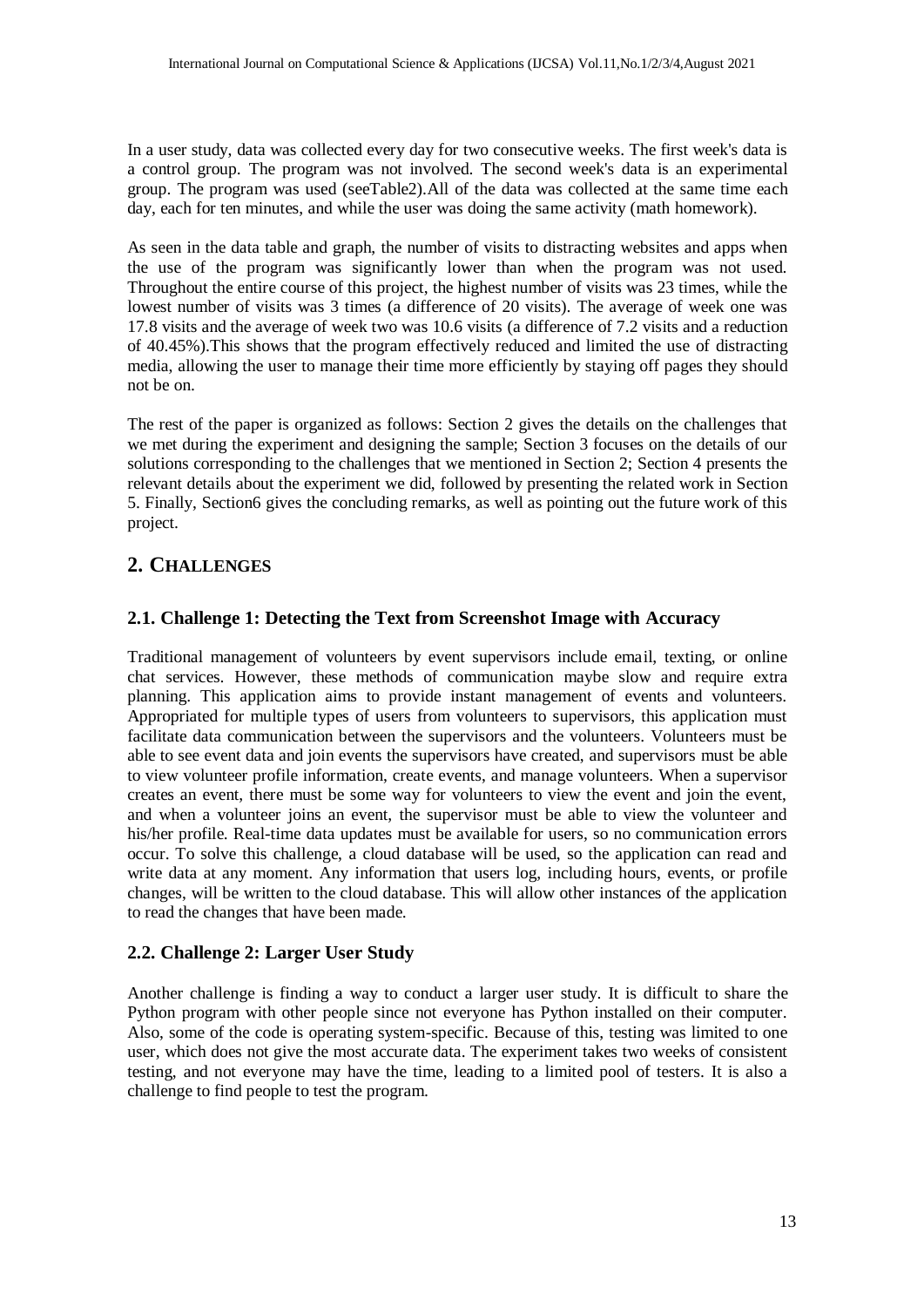In a user study, data was collected every day for two consecutive weeks. The first week's data is a control group. The program was not involved. The second week's data is an experimental group. The program was used (seeTable2).All of the data was collected at the same time each day, each for ten minutes, and while the user was doing the same activity (math homework).

As seen in the data table and graph, the number of visits to distracting websites and apps when the use of the program was significantly lower than when the program was not used. Throughout the entire course of this project, the highest number of visits was 23 times, while the lowest number of visits was 3 times (a difference of 20 visits). The average of week one was 17.8 visits and the average of week two was 10.6 visits (a difference of 7.2 visits and a reduction of 40.45%).This shows that the program effectively reduced and limited the use of distracting media, allowing the user to manage their time more efficiently by staying off pages they should not be on.

The rest of the paper is organized as follows: Section 2 gives the details on the challenges that we met during the experiment and designing the sample; Section 3 focuses on the details of our solutions corresponding to the challenges that we mentioned in Section 2; Section 4 presents the relevant details about the experiment we did, followed by presenting the related work in Section 5. Finally, Section6 gives the concluding remarks, as well as pointing out the future work of this project.

# **2. CHALLENGES**

#### **2.1. Challenge 1: Detecting the Text from Screenshot Image with Accuracy**

Traditional management of volunteers by event supervisors include email, texting, or online chat services. However, these methods of communication maybe slow and require extra planning. This application aims to provide instant management of events and volunteers. Appropriated for multiple types of users from volunteers to supervisors, this application must facilitate data communication between the supervisors and the volunteers. Volunteers must be able to see event data and join events the supervisors have created, and supervisors must be able to view volunteer profile information, create events, and manage volunteers. When a supervisor creates an event, there must be some way for volunteers to view the event and join the event, and when a volunteer joins an event, the supervisor must be able to view the volunteer and his/her profile. Real-time data updates must be available for users, so no communication errors occur. To solve this challenge, a cloud database will be used, so the application can read and write data at any moment. Any information that users log, including hours, events, or profile changes, will be written to the cloud database. This will allow other instances of the application to read the changes that have been made.

#### **2.2. Challenge 2: Larger User Study**

Another challenge is finding a way to conduct a larger user study. It is difficult to share the Python program with other people since not everyone has Python installed on their computer. Also, some of the code is operating system-specific. Because of this, testing was limited to one user, which does not give the most accurate data. The experiment takes two weeks of consistent testing, and not everyone may have the time, leading to a limited pool of testers. It is also a challenge to find people to test the program.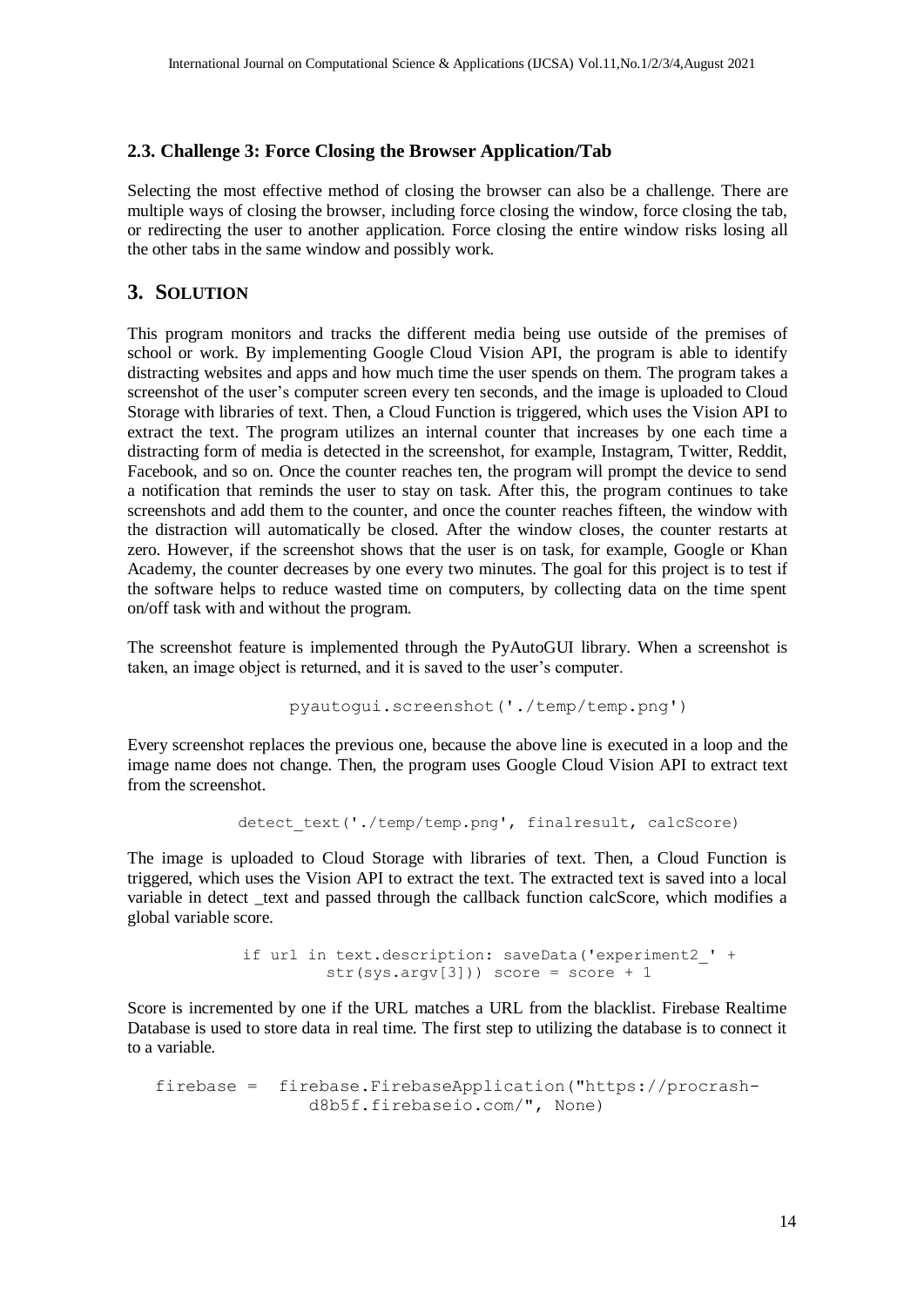## **2.3. Challenge 3: Force Closing the Browser Application/Tab**

Selecting the most effective method of closing the browser can also be a challenge. There are multiple ways of closing the browser, including force closing the window, force closing the tab, or redirecting the user to another application. Force closing the entire window risks losing all the other tabs in the same window and possibly work.

# **3. SOLUTION**

This program monitors and tracks the different media being use outside of the premises of school or work. By implementing Google Cloud Vision API, the program is able to identify distracting websites and apps and how much time the user spends on them. The program takes a screenshot of the user's computer screen every ten seconds, and the image is uploaded to Cloud Storage with libraries of text. Then, a Cloud Function is triggered, which uses the Vision API to extract the text. The program utilizes an internal counter that increases by one each time a distracting form of media is detected in the screenshot, for example, Instagram, Twitter, Reddit, Facebook, and so on. Once the counter reaches ten, the program will prompt the device to send a notification that reminds the user to stay on task. After this, the program continues to take screenshots and add them to the counter, and once the counter reaches fifteen, the window with the distraction will automatically be closed. After the window closes, the counter restarts at zero. However, if the screenshot shows that the user is on task, for example, Google or Khan Academy, the counter decreases by one every two minutes. The goal for this project is to test if the software helps to reduce wasted time on computers, by collecting data on the time spent on/off task with and without the program.

The screenshot feature is implemented through the PyAutoGUI library. When a screenshot is taken, an image object is returned, and it is saved to the user's computer.

```
pyautogui.screenshot('./temp/temp.png')
```
Every screenshot replaces the previous one, because the above line is executed in a loop and the image name does not change. Then, the program uses Google Cloud Vision API to extract text from the screenshot.

```
detect text('./temp/temp.png', finalresult, calcScore)
```
The image is uploaded to Cloud Storage with libraries of text. Then, a Cloud Function is triggered, which uses the Vision API to extract the text. The extracted text is saved into a local variable in detect \_text and passed through the callback function calcScore, which modifies a global variable score.

> if url in text.description: saveData('experiment2\_' +  $str(sys.argv[3])$ ) score = score + 1

Score is incremented by one if the URL matches a URL from the blacklist. Firebase Realtime Database is used to store data in real time. The first step to utilizing the database is to connect it to a variable.

firebase = firebase.FirebaseApplication("https://procrashd8b5f.firebaseio.com/", None)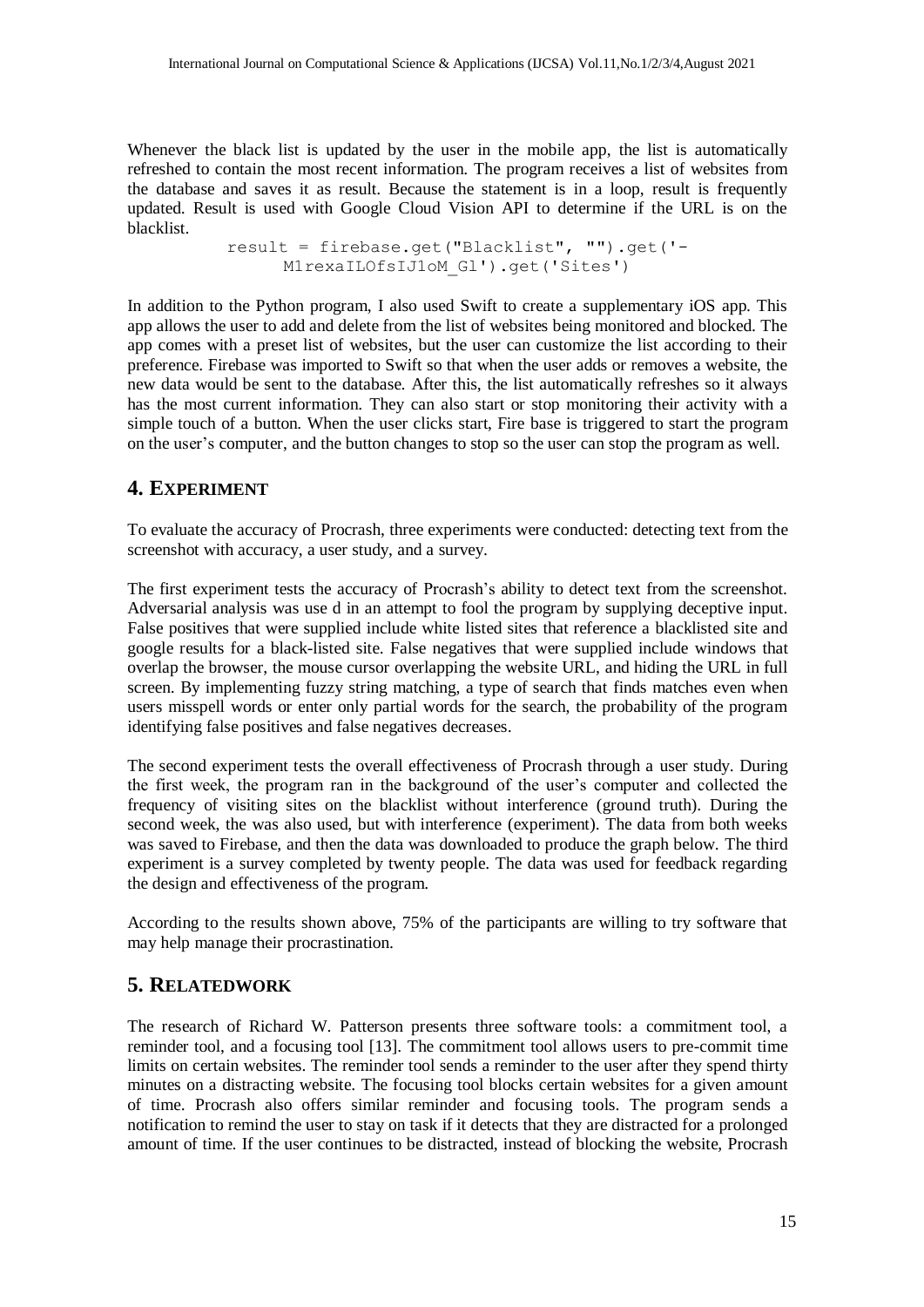Whenever the black list is updated by the user in the mobile app, the list is automatically refreshed to contain the most recent information. The program receives a list of websites from the database and saves it as result. Because the statement is in a loop, result is frequently updated. Result is used with Google Cloud Vision API to determine if the URL is on the blacklist.

> result = firebase.get("Blacklist", "").get('- M1rexaILOfsIJ1oM\_Gl').get('Sites')

In addition to the Python program, I also used Swift to create a supplementary iOS app. This app allows the user to add and delete from the list of websites being monitored and blocked. The app comes with a preset list of websites, but the user can customize the list according to their preference. Firebase was imported to Swift so that when the user adds or removes a website, the new data would be sent to the database. After this, the list automatically refreshes so it always has the most current information. They can also start or stop monitoring their activity with a simple touch of a button. When the user clicks start, Fire base is triggered to start the program on the user's computer, and the button changes to stop so the user can stop the program as well.

#### **4. EXPERIMENT**

To evaluate the accuracy of Procrash, three experiments were conducted: detecting text from the screenshot with accuracy, a user study, and a survey.

The first experiment tests the accuracy of Procrash's ability to detect text from the screenshot. Adversarial analysis was use d in an attempt to fool the program by supplying deceptive input. False positives that were supplied include white listed sites that reference a blacklisted site and google results for a black-listed site. False negatives that were supplied include windows that overlap the browser, the mouse cursor overlapping the website URL, and hiding the URL in full screen. By implementing fuzzy string matching, a type of search that finds matches even when users misspell words or enter only partial words for the search, the probability of the program identifying false positives and false negatives decreases.

The second experiment tests the overall effectiveness of Procrash through a user study. During the first week, the program ran in the background of the user's computer and collected the frequency of visiting sites on the blacklist without interference (ground truth). During the second week, the was also used, but with interference (experiment). The data from both weeks was saved to Firebase, and then the data was downloaded to produce the graph below. The third experiment is a survey completed by twenty people. The data was used for feedback regarding the design and effectiveness of the program.

According to the results shown above, 75% of the participants are willing to try software that may help manage their procrastination.

#### **5. RELATEDWORK**

The research of Richard W. Patterson presents three software tools: a commitment tool, a reminder tool, and a focusing tool [13]. The commitment tool allows users to pre-commit time limits on certain websites. The reminder tool sends a reminder to the user after they spend thirty minutes on a distracting website. The focusing tool blocks certain websites for a given amount of time. Procrash also offers similar reminder and focusing tools. The program sends a notification to remind the user to stay on task if it detects that they are distracted for a prolonged amount of time. If the user continues to be distracted, instead of blocking the website, Procrash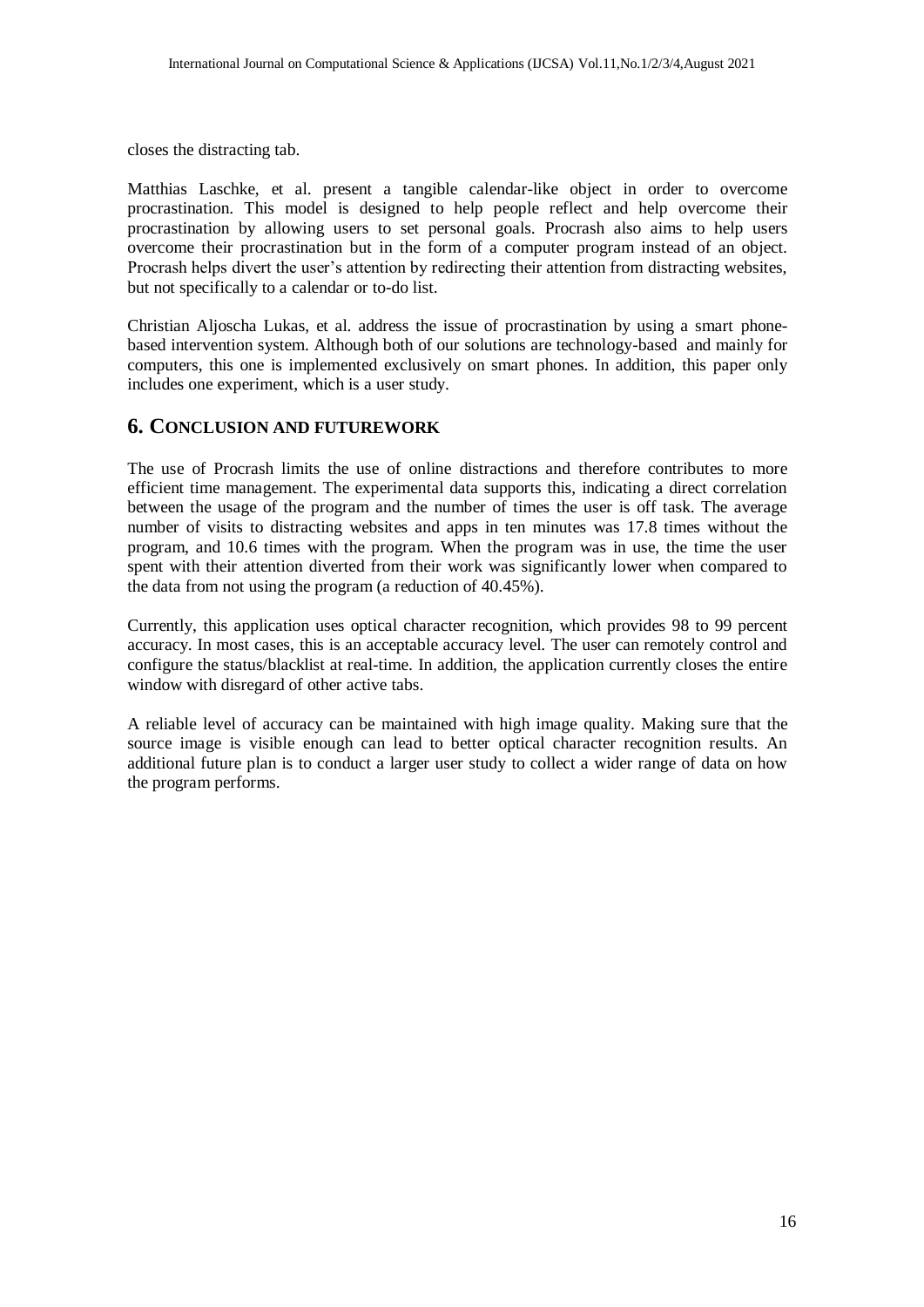closes the distracting tab.

Matthias Laschke, et al. present a tangible calendar-like object in order to overcome procrastination. This model is designed to help people reflect and help overcome their procrastination by allowing users to set personal goals. Procrash also aims to help users overcome their procrastination but in the form of a computer program instead of an object. Procrash helps divert the user's attention by redirecting their attention from distracting websites, but not specifically to a calendar or to-do list.

Christian Aljoscha Lukas, et al. address the issue of procrastination by using a smart phonebased intervention system. Although both of our solutions are technology-based and mainly for computers, this one is implemented exclusively on smart phones. In addition, this paper only includes one experiment, which is a user study.

## **6. CONCLUSION AND FUTUREWORK**

The use of Procrash limits the use of online distractions and therefore contributes to more efficient time management. The experimental data supports this, indicating a direct correlation between the usage of the program and the number of times the user is off task. The average number of visits to distracting websites and apps in ten minutes was 17.8 times without the program, and 10.6 times with the program. When the program was in use, the time the user spent with their attention diverted from their work was significantly lower when compared to the data from not using the program (a reduction of 40.45%).

Currently, this application uses optical character recognition, which provides 98 to 99 percent accuracy. In most cases, this is an acceptable accuracy level. The user can remotely control and configure the status/blacklist at real-time. In addition, the application currently closes the entire window with disregard of other active tabs.

A reliable level of accuracy can be maintained with high image quality. Making sure that the source image is visible enough can lead to better optical character recognition results. An additional future plan is to conduct a larger user study to collect a wider range of data on how the program performs.